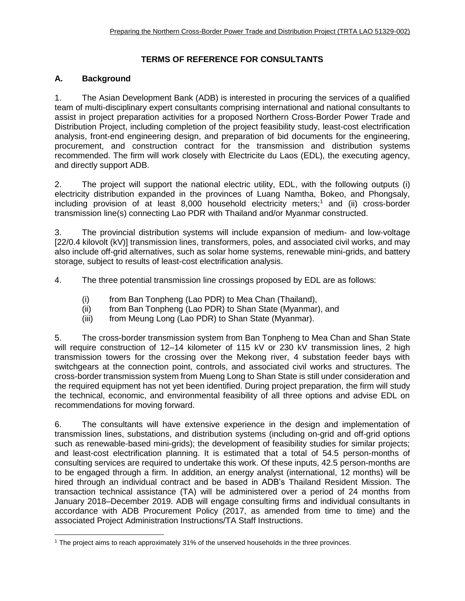# **TERMS OF REFERENCE FOR CONSULTANTS**

# **A. Background**

1. The Asian Development Bank (ADB) is interested in procuring the services of a qualified team of multi-disciplinary expert consultants comprising international and national consultants to assist in project preparation activities for a proposed Northern Cross-Border Power Trade and Distribution Project, including completion of the project feasibility study, least-cost electrification analysis, front-end engineering design, and preparation of bid documents for the engineering, procurement, and construction contract for the transmission and distribution systems recommended. The firm will work closely with Electricite du Laos (EDL), the executing agency, and directly support ADB.

2. The project will support the national electric utility, EDL, with the following outputs (i) electricity distribution expanded in the provinces of Luang Namtha, Bokeo, and Phongsaly, including provision of at least 8,000 household electricity meters;<sup>1</sup> and (ii) cross-border transmission line(s) connecting Lao PDR with Thailand and/or Myanmar constructed.

3. The provincial distribution systems will include expansion of medium- and low-voltage [22/0.4 kilovolt (kV)] transmission lines, transformers, poles, and associated civil works, and may also include off-grid alternatives, such as solar home systems, renewable mini-grids, and battery storage, subject to results of least-cost electrification analysis.

4. The three potential transmission line crossings proposed by EDL are as follows:

- (i) from Ban Tonpheng (Lao PDR) to Mea Chan (Thailand),
- (ii) from Ban Tonpheng (Lao PDR) to Shan State (Myanmar), and
- (iii) from Meung Long (Lao PDR) to Shan State (Myanmar).

5. The cross-border transmission system from Ban Tonpheng to Mea Chan and Shan State will require construction of 12–14 kilometer of 115 kV or 230 kV transmission lines, 2 high transmission towers for the crossing over the Mekong river, 4 substation feeder bays with switchgears at the connection point, controls, and associated civil works and structures. The cross-border transmission system from Mueng Long to Shan State is still under consideration and the required equipment has not yet been identified. During project preparation, the firm will study the technical, economic, and environmental feasibility of all three options and advise EDL on recommendations for moving forward.

6. The consultants will have extensive experience in the design and implementation of transmission lines, substations, and distribution systems (including on-grid and off-grid options such as renewable-based mini-grids); the development of feasibility studies for similar projects; and least-cost electrification planning. It is estimated that a total of 54.5 person-months of consulting services are required to undertake this work. Of these inputs, 42.5 person-months are to be engaged through a firm. In addition, an energy analyst (international, 12 months) will be hired through an individual contract and be based in ADB's Thailand Resident Mission. The transaction technical assistance (TA) will be administered over a period of 24 months from January 2018–December 2019. ADB will engage consulting firms and individual consultants in accordance with ADB Procurement Policy (2017, as amended from time to time) and the associated Project Administration Instructions/TA Staff Instructions.

<sup>1</sup> The project aims to reach approximately 31% of the unserved households in the three provinces.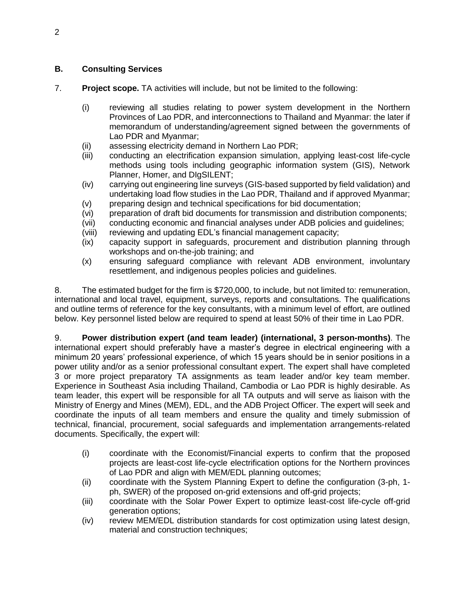### **B. Consulting Services**

- 7. **Project scope.** TA activities will include, but not be limited to the following:
	- (i) reviewing all studies relating to power system development in the Northern Provinces of Lao PDR, and interconnections to Thailand and Myanmar: the later if memorandum of understanding/agreement signed between the governments of Lao PDR and Myanmar;
	- (ii) assessing electricity demand in Northern Lao PDR;
	- (iii) conducting an electrification expansion simulation, applying least-cost life-cycle methods using tools including geographic information system (GIS), Network Planner, Homer, and DIgSILENT;
	- (iv) carrying out engineering line surveys (GIS-based supported by field validation) and undertaking load flow studies in the Lao PDR, Thailand and if approved Myanmar;
	- (v) preparing design and technical specifications for bid documentation;
	- (vi) preparation of draft bid documents for transmission and distribution components;
	- (vii) conducting economic and financial analyses under ADB policies and guidelines;
	- (viii) reviewing and updating EDL's financial management capacity;
	- (ix) capacity support in safeguards, procurement and distribution planning through workshops and on-the-job training; and
	- (x) ensuring safeguard compliance with relevant ADB environment, involuntary resettlement, and indigenous peoples policies and guidelines.

8. The estimated budget for the firm is \$720,000, to include, but not limited to: remuneration, international and local travel, equipment, surveys, reports and consultations. The qualifications and outline terms of reference for the key consultants, with a minimum level of effort, are outlined below. Key personnel listed below are required to spend at least 50% of their time in Lao PDR.

9. **Power distribution expert (and team leader) (international, 3 person-months)**. The international expert should preferably have a master's degree in electrical engineering with a minimum 20 years' professional experience, of which 15 years should be in senior positions in a power utility and/or as a senior professional consultant expert. The expert shall have completed 3 or more project preparatory TA assignments as team leader and/or key team member. Experience in Southeast Asia including Thailand, Cambodia or Lao PDR is highly desirable. As team leader, this expert will be responsible for all TA outputs and will serve as liaison with the Ministry of Energy and Mines (MEM), EDL, and the ADB Project Officer. The expert will seek and coordinate the inputs of all team members and ensure the quality and timely submission of technical, financial, procurement, social safeguards and implementation arrangements-related documents. Specifically, the expert will:

- (i) coordinate with the Economist/Financial experts to confirm that the proposed projects are least-cost life-cycle electrification options for the Northern provinces of Lao PDR and align with MEM/EDL planning outcomes;
- (ii) coordinate with the System Planning Expert to define the configuration (3-ph, 1 ph, SWER) of the proposed on-grid extensions and off-grid projects;
- (iii) coordinate with the Solar Power Expert to optimize least-cost life-cycle off-grid generation options;
- (iv) review MEM/EDL distribution standards for cost optimization using latest design, material and construction techniques;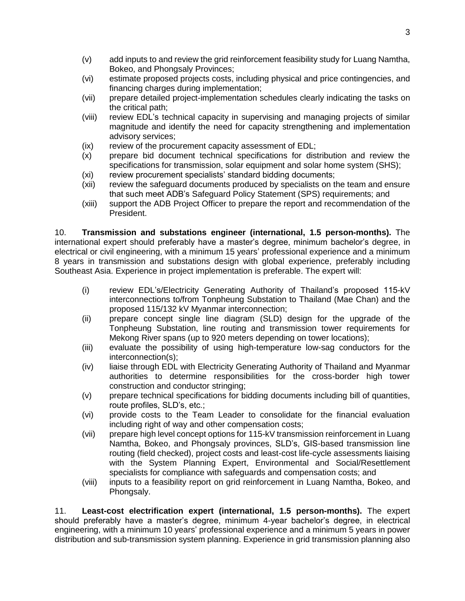- (v) add inputs to and review the grid reinforcement feasibility study for Luang Namtha, Bokeo, and Phongsaly Provinces;
- (vi) estimate proposed projects costs, including physical and price contingencies, and financing charges during implementation;
- (vii) prepare detailed project-implementation schedules clearly indicating the tasks on the critical path;
- (viii) review EDL's technical capacity in supervising and managing projects of similar magnitude and identify the need for capacity strengthening and implementation advisory services;
- (ix) review of the procurement capacity assessment of EDL;
- (x) prepare bid document technical specifications for distribution and review the specifications for transmission, solar equipment and solar home system (SHS);
- (xi) review procurement specialists' standard bidding documents;
- (xii) review the safeguard documents produced by specialists on the team and ensure that such meet ADB's Safeguard Policy Statement (SPS) requirements; and
- (xiii) support the ADB Project Officer to prepare the report and recommendation of the President.

10. **Transmission and substations engineer (international, 1.5 person-months).** The international expert should preferably have a master's degree, minimum bachelor's degree, in electrical or civil engineering, with a minimum 15 years' professional experience and a minimum 8 years in transmission and substations design with global experience, preferably including Southeast Asia. Experience in project implementation is preferable. The expert will:

- (i) review EDL's/Electricity Generating Authority of Thailand's proposed 115-kV interconnections to/from Tonpheung Substation to Thailand (Mae Chan) and the proposed 115/132 kV Myanmar interconnection;
- (ii) prepare concept single line diagram (SLD) design for the upgrade of the Tonpheung Substation, line routing and transmission tower requirements for Mekong River spans (up to 920 meters depending on tower locations);
- (iii) evaluate the possibility of using high-temperature low-sag conductors for the interconnection(s);
- (iv) liaise through EDL with Electricity Generating Authority of Thailand and Myanmar authorities to determine responsibilities for the cross-border high tower construction and conductor stringing;
- (v) prepare technical specifications for bidding documents including bill of quantities, route profiles, SLD's, etc.;
- (vi) provide costs to the Team Leader to consolidate for the financial evaluation including right of way and other compensation costs;
- (vii) prepare high level concept options for 115-kV transmission reinforcement in Luang Namtha, Bokeo, and Phongsaly provinces, SLD's, GIS-based transmission line routing (field checked), project costs and least-cost life-cycle assessments liaising with the System Planning Expert, Environmental and Social/Resettlement specialists for compliance with safeguards and compensation costs; and
- (viii) inputs to a feasibility report on grid reinforcement in Luang Namtha, Bokeo, and Phongsaly.

11. **Least-cost electrification expert (international, 1.5 person-months).** The expert should preferably have a master's degree, minimum 4-year bachelor's degree, in electrical engineering, with a minimum 10 years' professional experience and a minimum 5 years in power distribution and sub-transmission system planning. Experience in grid transmission planning also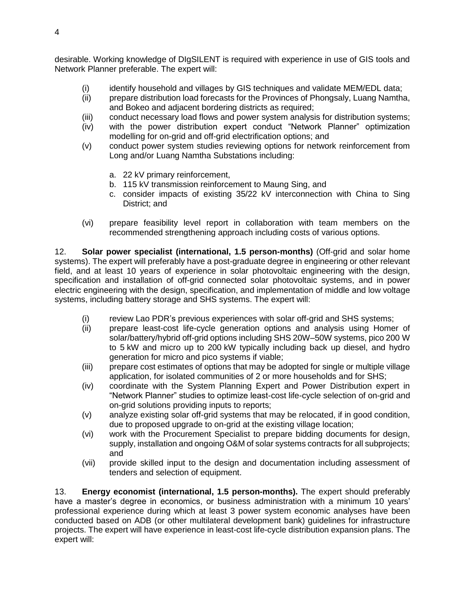desirable. Working knowledge of DIgSILENT is required with experience in use of GIS tools and Network Planner preferable. The expert will:

- (i) identify household and villages by GIS techniques and validate MEM/EDL data;
- (ii) prepare distribution load forecasts for the Provinces of Phongsaly, Luang Namtha, and Bokeo and adjacent bordering districts as required;
- (iii) conduct necessary load flows and power system analysis for distribution systems;
- (iv) with the power distribution expert conduct "Network Planner" optimization modelling for on-grid and off-grid electrification options; and
- (v) conduct power system studies reviewing options for network reinforcement from Long and/or Luang Namtha Substations including:
	- a. 22 kV primary reinforcement,
	- b. 115 kV transmission reinforcement to Maung Sing, and
	- c. consider impacts of existing 35/22 kV interconnection with China to Sing District; and
- (vi) prepare feasibility level report in collaboration with team members on the recommended strengthening approach including costs of various options.

12. **Solar power specialist (international, 1.5 person-months)** (Off-grid and solar home systems). The expert will preferably have a post-graduate degree in engineering or other relevant field, and at least 10 years of experience in solar photovoltaic engineering with the design, specification and installation of off-grid connected solar photovoltaic systems, and in power electric engineering with the design, specification, and implementation of middle and low voltage systems, including battery storage and SHS systems. The expert will:

- (i) review Lao PDR's previous experiences with solar off-grid and SHS systems;
- (ii) prepare least-cost life-cycle generation options and analysis using Homer of solar/battery/hybrid off-grid options including SHS 20W–50W systems, pico 200 W to 5 kW and micro up to 200 kW typically including back up diesel, and hydro generation for micro and pico systems if viable;
- (iii) prepare cost estimates of options that may be adopted for single or multiple village application, for isolated communities of 2 or more households and for SHS;
- (iv) coordinate with the System Planning Expert and Power Distribution expert in "Network Planner" studies to optimize least-cost life-cycle selection of on-grid and on-grid solutions providing inputs to reports;
- (v) analyze existing solar off-grid systems that may be relocated, if in good condition, due to proposed upgrade to on-grid at the existing village location;
- (vi) work with the Procurement Specialist to prepare bidding documents for design, supply, installation and ongoing O&M of solar systems contracts for all subprojects; and
- (vii) provide skilled input to the design and documentation including assessment of tenders and selection of equipment.

13. **Energy economist (international, 1.5 person-months).** The expert should preferably have a master's degree in economics, or business administration with a minimum 10 years' professional experience during which at least 3 power system economic analyses have been conducted based on ADB (or other multilateral development bank) guidelines for infrastructure projects. The expert will have experience in least-cost life-cycle distribution expansion plans. The expert will: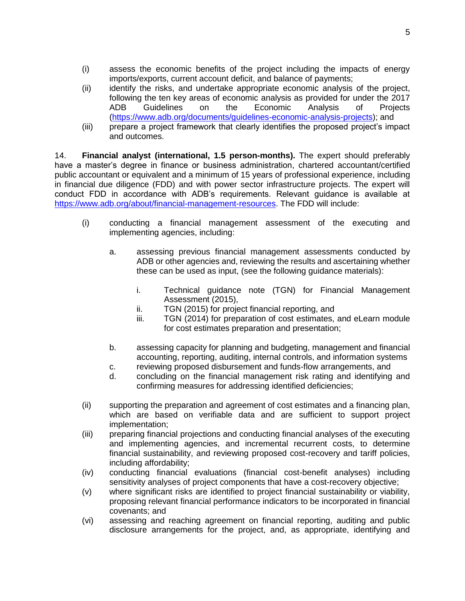- (i) assess the economic benefits of the project including the impacts of energy imports/exports, current account deficit, and balance of payments;
- (ii) identify the risks, and undertake appropriate economic analysis of the project, following the ten key areas of economic analysis as provided for under the 2017 ADB Guidelines on the Economic Analysis of Projects [\(https://www.adb.org/documents/guidelines-economic-analysis-projects\)](https://www.adb.org/documents/guidelines-economic-analysis-projects); and
- (iii) prepare a project framework that clearly identifies the proposed project's impact and outcomes.

14. **Financial analyst (international, 1.5 person-months).** The expert should preferably have a master's degree in finance or business administration, chartered accountant/certified public accountant or equivalent and a minimum of 15 years of professional experience, including in financial due diligence (FDD) and with power sector infrastructure projects. The expert will conduct FDD in accordance with ADB's requirements. Relevant guidance is available at [https://www.adb.org/about/financial-management-resources.](https://www.adb.org/about/financial-management-resources) The FDD will include:

- (i) conducting a financial management assessment of the executing and implementing agencies, including:
	- a. assessing previous financial management assessments conducted by ADB or other agencies and, reviewing the results and ascertaining whether these can be used as input, (see the following guidance materials):
		- i. Technical guidance note (TGN) for Financial Management Assessment (2015),
		- ii. TGN (2015) for project financial reporting, and
		- iii. TGN (2014) for preparation of cost estimates, and eLearn module for cost estimates preparation and presentation;
	- b. assessing capacity for planning and budgeting, management and financial accounting, reporting, auditing, internal controls, and information systems
	- c. reviewing proposed disbursement and funds-flow arrangements, and
	- d. concluding on the financial management risk rating and identifying and confirming measures for addressing identified deficiencies;
- (ii) supporting the preparation and agreement of cost estimates and a financing plan, which are based on verifiable data and are sufficient to support project implementation;
- (iii) preparing financial projections and conducting financial analyses of the executing and implementing agencies, and incremental recurrent costs, to determine financial sustainability, and reviewing proposed cost-recovery and tariff policies, including affordability;
- (iv) conducting financial evaluations (financial cost-benefit analyses) including sensitivity analyses of project components that have a cost-recovery objective;
- (v) where significant risks are identified to project financial sustainability or viability, proposing relevant financial performance indicators to be incorporated in financial covenants; and
- (vi) assessing and reaching agreement on financial reporting, auditing and public disclosure arrangements for the project, and, as appropriate, identifying and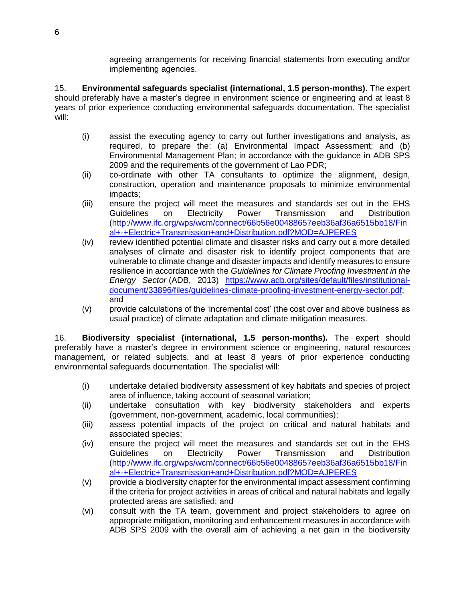agreeing arrangements for receiving financial statements from executing and/or implementing agencies.

15. **Environmental safeguards specialist (international, 1.5 person-months).** The expert should preferably have a master's degree in environment science or engineering and at least 8 years of prior experience conducting environmental safeguards documentation. The specialist will:

- (i) assist the executing agency to carry out further investigations and analysis, as required, to prepare the: (a) Environmental Impact Assessment; and (b) Environmental Management Plan; in accordance with the guidance in ADB SPS 2009 and the requirements of the government of Lao PDR;
- (ii) co-ordinate with other TA consultants to optimize the alignment, design, construction, operation and maintenance proposals to minimize environmental impacts;
- (iii) ensure the project will meet the measures and standards set out in the EHS Guidelines on Electricity Power Transmission and Distribution [\(http://www.ifc.org/wps/wcm/connect/66b56e00488657eeb36af36a6515bb18/Fin](http://www.ifc.org/wps/wcm/connect/66b56e00488657eeb36af36a6515bb18/Final+-+Electric+Transmission+and+Distribution.pdf?MOD=AJPERES) [al+-+Electric+Transmission+and+Distribution.pdf?MOD=AJPERES](http://www.ifc.org/wps/wcm/connect/66b56e00488657eeb36af36a6515bb18/Final+-+Electric+Transmission+and+Distribution.pdf?MOD=AJPERES)
- (iv) review identified potential climate and disaster risks and carry out a more detailed analyses of climate and disaster risk to identify project components that are vulnerable to climate change and disaster impacts and identify measures to ensure resilience in accordance with the *Guidelines for Climate Proofing Investment in the Energy Sector* (ADB, 2013) [https://www.adb.org/sites/default/files/institutional](https://www.adb.org/sites/default/files/institutional-document/33896/files/guidelines-climate-proofing-investment-energy-sector.pdf)[document/33896/files/guidelines-climate-proofing-investment-energy-sector.pdf;](https://www.adb.org/sites/default/files/institutional-document/33896/files/guidelines-climate-proofing-investment-energy-sector.pdf) and
- (v) provide calculations of the 'incremental cost' (the cost over and above business as usual practice) of climate adaptation and climate mitigation measures.

16. **Biodiversity specialist (international, 1.5 person-months).** The expert should preferably have a master's degree in environment science or engineering, natural resources management, or related subjects. and at least 8 years of prior experience conducting environmental safeguards documentation. The specialist will:

- (i) undertake detailed biodiversity assessment of key habitats and species of project area of influence, taking account of seasonal variation;
- (ii) undertake consultation with key biodiversity stakeholders and experts (government, non-government, academic, local communities);
- (iii) assess potential impacts of the project on critical and natural habitats and associated species;
- (iv) ensure the project will meet the measures and standards set out in the EHS Guidelines on Electricity Power Transmission and Distribution [\(http://www.ifc.org/wps/wcm/connect/66b56e00488657eeb36af36a6515bb18/Fin](http://www.ifc.org/wps/wcm/connect/66b56e00488657eeb36af36a6515bb18/Final+-+Electric+Transmission+and+Distribution.pdf?MOD=AJPERES) [al+-+Electric+Transmission+and+Distribution.pdf?MOD=AJPERES](http://www.ifc.org/wps/wcm/connect/66b56e00488657eeb36af36a6515bb18/Final+-+Electric+Transmission+and+Distribution.pdf?MOD=AJPERES)
- (v) provide a biodiversity chapter for the environmental impact assessment confirming if the criteria for project activities in areas of critical and natural habitats and legally protected areas are satisfied; and
- (vi) consult with the TA team, government and project stakeholders to agree on appropriate mitigation, monitoring and enhancement measures in accordance with ADB SPS 2009 with the overall aim of achieving a net gain in the biodiversity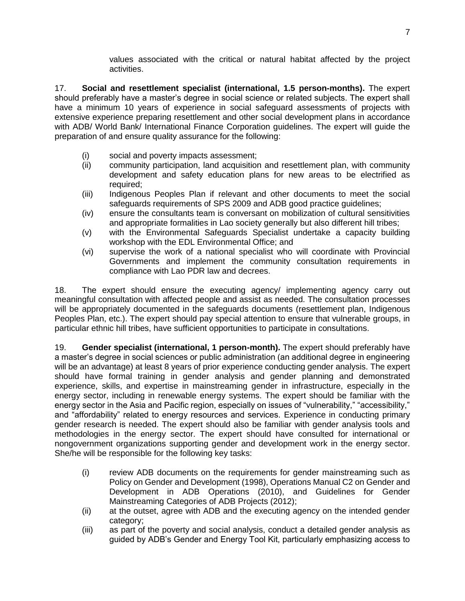values associated with the critical or natural habitat affected by the project activities.

17. **Social and resettlement specialist (international, 1.5 person-months).** The expert should preferably have a master's degree in social science or related subjects. The expert shall have a minimum 10 years of experience in social safeguard assessments of projects with extensive experience preparing resettlement and other social development plans in accordance with ADB/ World Bank/ International Finance Corporation guidelines. The expert will guide the preparation of and ensure quality assurance for the following:

- (i) social and poverty impacts assessment;
- (ii) community participation, land acquisition and resettlement plan, with community development and safety education plans for new areas to be electrified as required;
- (iii) Indigenous Peoples Plan if relevant and other documents to meet the social safeguards requirements of SPS 2009 and ADB good practice guidelines;
- (iv) ensure the consultants team is conversant on mobilization of cultural sensitivities and appropriate formalities in Lao society generally but also different hill tribes;
- (v) with the Environmental Safeguards Specialist undertake a capacity building workshop with the EDL Environmental Office; and
- (vi) supervise the work of a national specialist who will coordinate with Provincial Governments and implement the community consultation requirements in compliance with Lao PDR law and decrees.

18. The expert should ensure the executing agency/ implementing agency carry out meaningful consultation with affected people and assist as needed. The consultation processes will be appropriately documented in the safeguards documents (resettlement plan, Indigenous Peoples Plan, etc.). The expert should pay special attention to ensure that vulnerable groups, in particular ethnic hill tribes, have sufficient opportunities to participate in consultations.

19. **Gender specialist (international, 1 person-month).** The expert should preferably have a master's degree in social sciences or public administration (an additional degree in engineering will be an advantage) at least 8 years of prior experience conducting gender analysis. The expert should have formal training in gender analysis and gender planning and demonstrated experience, skills, and expertise in mainstreaming gender in infrastructure, especially in the energy sector, including in renewable energy systems. The expert should be familiar with the energy sector in the Asia and Pacific region, especially on issues of "vulnerability," "accessibility," and "affordability" related to energy resources and services. Experience in conducting primary gender research is needed. The expert should also be familiar with gender analysis tools and methodologies in the energy sector. The expert should have consulted for international or nongovernment organizations supporting gender and development work in the energy sector. She/he will be responsible for the following key tasks:

- (i) review ADB documents on the requirements for gender mainstreaming such as Policy on Gender and Development (1998), Operations Manual C2 on Gender and Development in ADB Operations (2010), and Guidelines for Gender Mainstreaming Categories of ADB Projects (2012);
- (ii) at the outset, agree with ADB and the executing agency on the intended gender category;
- (iii) as part of the poverty and social analysis, conduct a detailed gender analysis as guided by ADB's Gender and Energy Tool Kit, particularly emphasizing access to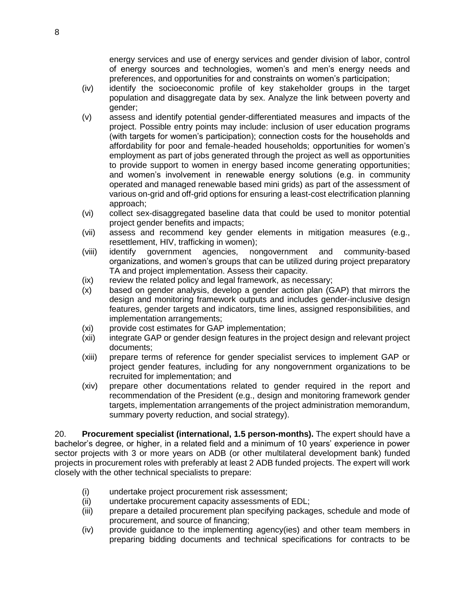energy services and use of energy services and gender division of labor, control of energy sources and technologies, women's and men's energy needs and preferences, and opportunities for and constraints on women's participation;

- (iv) identify the socioeconomic profile of key stakeholder groups in the target population and disaggregate data by sex. Analyze the link between poverty and gender;
- (v) assess and identify potential gender-differentiated measures and impacts of the project. Possible entry points may include: inclusion of user education programs (with targets for women's participation); connection costs for the households and affordability for poor and female-headed households; opportunities for women's employment as part of jobs generated through the project as well as opportunities to provide support to women in energy based income generating opportunities; and women's involvement in renewable energy solutions (e.g. in community operated and managed renewable based mini grids) as part of the assessment of various on-grid and off-grid options for ensuring a least-cost electrification planning approach;
- (vi) collect sex-disaggregated baseline data that could be used to monitor potential project gender benefits and impacts;
- (vii) assess and recommend key gender elements in mitigation measures (e.g., resettlement, HIV, trafficking in women);
- (viii) identify government agencies, nongovernment and community-based organizations, and women's groups that can be utilized during project preparatory TA and project implementation. Assess their capacity.
- (ix) review the related policy and legal framework, as necessary;
- (x) based on gender analysis, develop a gender action plan (GAP) that mirrors the design and monitoring framework outputs and includes gender-inclusive design features, gender targets and indicators, time lines, assigned responsibilities, and implementation arrangements;
- (xi) provide cost estimates for GAP implementation;
- (xii) integrate GAP or gender design features in the project design and relevant project documents;
- (xiii) prepare terms of reference for gender specialist services to implement GAP or project gender features, including for any nongovernment organizations to be recruited for implementation; and
- (xiv) prepare other documentations related to gender required in the report and recommendation of the President (e.g., design and monitoring framework gender targets, implementation arrangements of the project administration memorandum, summary poverty reduction, and social strategy).

20. **Procurement specialist (international, 1.5 person-months).** The expert should have a bachelor's degree, or higher, in a related field and a minimum of 10 years' experience in power sector projects with 3 or more years on ADB (or other multilateral development bank) funded projects in procurement roles with preferably at least 2 ADB funded projects. The expert will work closely with the other technical specialists to prepare:

- (i) undertake project procurement risk assessment;
- (ii) undertake procurement capacity assessments of EDL;
- (iii) prepare a detailed procurement plan specifying packages, schedule and mode of procurement, and source of financing;
- (iv) provide guidance to the implementing agency(ies) and other team members in preparing bidding documents and technical specifications for contracts to be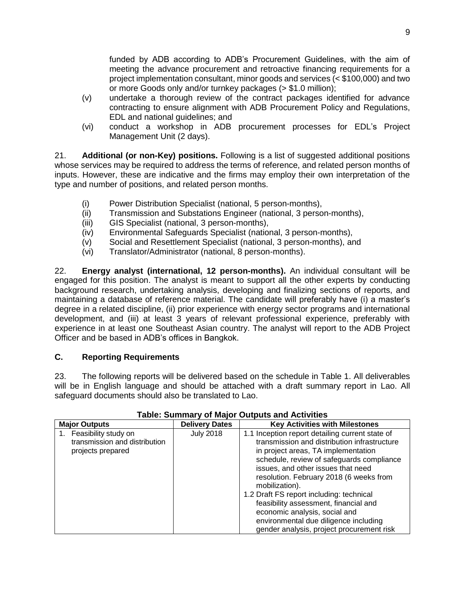funded by ADB according to ADB's Procurement Guidelines, with the aim of meeting the advance procurement and retroactive financing requirements for a project implementation consultant, minor goods and services (< \$100,000) and two or more Goods only and/or turnkey packages (> \$1.0 million);

- (v) undertake a thorough review of the contract packages identified for advance contracting to ensure alignment with ADB Procurement Policy and Regulations, EDL and national guidelines; and
- (vi) conduct a workshop in ADB procurement processes for EDL's Project Management Unit (2 days).

21. **Additional (or non-Key) positions.** Following is a list of suggested additional positions whose services may be required to address the terms of reference, and related person months of inputs. However, these are indicative and the firms may employ their own interpretation of the type and number of positions, and related person months.

- (i) Power Distribution Specialist (national, 5 person-months),
- (ii) Transmission and Substations Engineer (national, 3 person-months),
- (iii) GIS Specialist (national, 3 person-months),
- (iv) Environmental Safeguards Specialist (national, 3 person-months),
- (v) Social and Resettlement Specialist (national, 3 person-months), and
- (vi) Translator/Administrator (national, 8 person-months).

22. **Energy analyst (international, 12 person-months).** An individual consultant will be engaged for this position. The analyst is meant to support all the other experts by conducting background research, undertaking analysis, developing and finalizing sections of reports, and maintaining a database of reference material. The candidate will preferably have (i) a master's degree in a related discipline, (ii) prior experience with energy sector programs and international development, and (iii) at least 3 years of relevant professional experience, preferably with experience in at least one Southeast Asian country. The analyst will report to the ADB Project Officer and be based in ADB's offices in Bangkok.

### **C. Reporting Requirements**

23. The following reports will be delivered based on the schedule in Table 1. All deliverables will be in English language and should be attached with a draft summary report in Lao. All safeguard documents should also be translated to Lao.

| <b>Major Outputs</b>                                                       | <b>Delivery Dates</b> | <b>Key Activities with Milestones</b>                                                                                                                                                                                                                                                                                                                                                                                                                                                              |
|----------------------------------------------------------------------------|-----------------------|----------------------------------------------------------------------------------------------------------------------------------------------------------------------------------------------------------------------------------------------------------------------------------------------------------------------------------------------------------------------------------------------------------------------------------------------------------------------------------------------------|
| Feasibility study on<br>transmission and distribution<br>projects prepared | <b>July 2018</b>      | 1.1 Inception report detailing current state of<br>transmission and distribution infrastructure<br>in project areas, TA implementation<br>schedule, review of safeguards compliance<br>issues, and other issues that need<br>resolution. February 2018 (6 weeks from<br>mobilization).<br>1.2 Draft FS report including: technical<br>feasibility assessment, financial and<br>economic analysis, social and<br>environmental due diligence including<br>gender analysis, project procurement risk |

## **Table: Summary of Major Outputs and Activities**